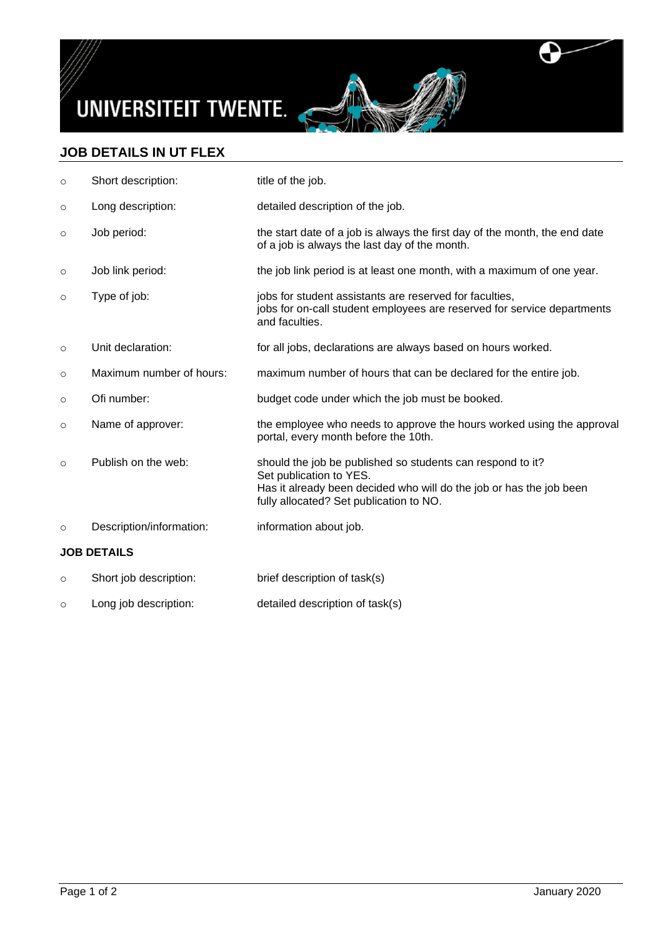

## **JOB DETAILS IN UT FLEX**

| $\circ$ | Short description:       | title of the job.                                                                                                                                                                                       |
|---------|--------------------------|---------------------------------------------------------------------------------------------------------------------------------------------------------------------------------------------------------|
| $\circ$ | Long description:        | detailed description of the job.                                                                                                                                                                        |
| $\circ$ | Job period:              | the start date of a job is always the first day of the month, the end date<br>of a job is always the last day of the month.                                                                             |
| $\circ$ | Job link period:         | the job link period is at least one month, with a maximum of one year.                                                                                                                                  |
| $\circ$ | Type of job:             | jobs for student assistants are reserved for faculties,<br>jobs for on-call student employees are reserved for service departments<br>and faculties.                                                    |
| $\circ$ | Unit declaration:        | for all jobs, declarations are always based on hours worked.                                                                                                                                            |
| $\circ$ | Maximum number of hours: | maximum number of hours that can be declared for the entire job.                                                                                                                                        |
| $\circ$ | Ofi number:              | budget code under which the job must be booked.                                                                                                                                                         |
| $\circ$ | Name of approver:        | the employee who needs to approve the hours worked using the approval<br>portal, every month before the 10th.                                                                                           |
| $\circ$ | Publish on the web:      | should the job be published so students can respond to it?<br>Set publication to YES.<br>Has it already been decided who will do the job or has the job been<br>fully allocated? Set publication to NO. |
| $\circ$ | Description/information: | information about job.                                                                                                                                                                                  |
|         | <b>JOB DETAILS</b>       |                                                                                                                                                                                                         |
| $\circ$ | Short job description:   | brief description of task(s)                                                                                                                                                                            |
|         |                          |                                                                                                                                                                                                         |

o Long job description: detailed description of task(s)